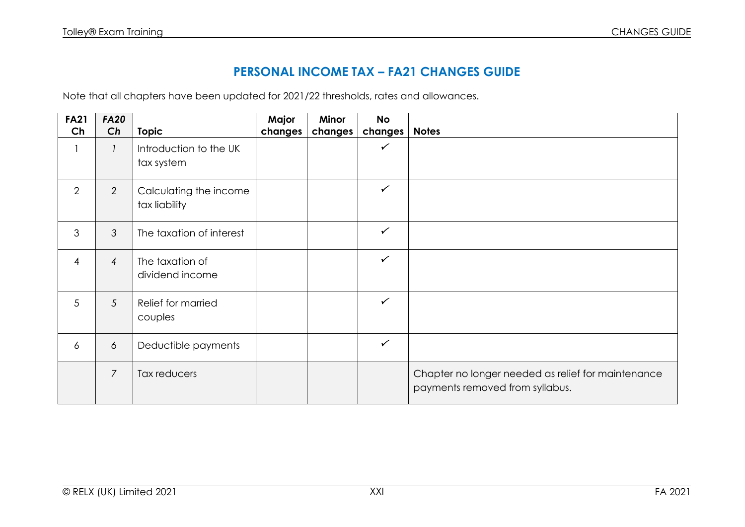## **PERSONAL INCOME TAX – FA21 CHANGES GUIDE**

Note that all chapters have been updated for 2021/22 thresholds, rates and allowances.

| <b>FA21</b>    | <b>FA20</b>    |                                         | Major   | <b>Minor</b> | <b>No</b>    |                                                                                       |
|----------------|----------------|-----------------------------------------|---------|--------------|--------------|---------------------------------------------------------------------------------------|
| Ch             | Ch             | <b>Topic</b>                            | changes | changes      | changes      | <b>Notes</b>                                                                          |
|                |                | Introduction to the UK<br>tax system    |         |              | $\checkmark$ |                                                                                       |
| 2              | $\overline{2}$ | Calculating the income<br>tax liability |         |              | $\checkmark$ |                                                                                       |
| 3              | 3              | The taxation of interest                |         |              | $\checkmark$ |                                                                                       |
| $\overline{4}$ | $\overline{4}$ | The taxation of<br>dividend income      |         |              | $\checkmark$ |                                                                                       |
| 5              | 5              | Relief for married<br>couples           |         |              | $\checkmark$ |                                                                                       |
| $\overline{6}$ | 6              | Deductible payments                     |         |              | $\checkmark$ |                                                                                       |
|                | $\overline{7}$ | Tax reducers                            |         |              |              | Chapter no longer needed as relief for maintenance<br>payments removed from syllabus. |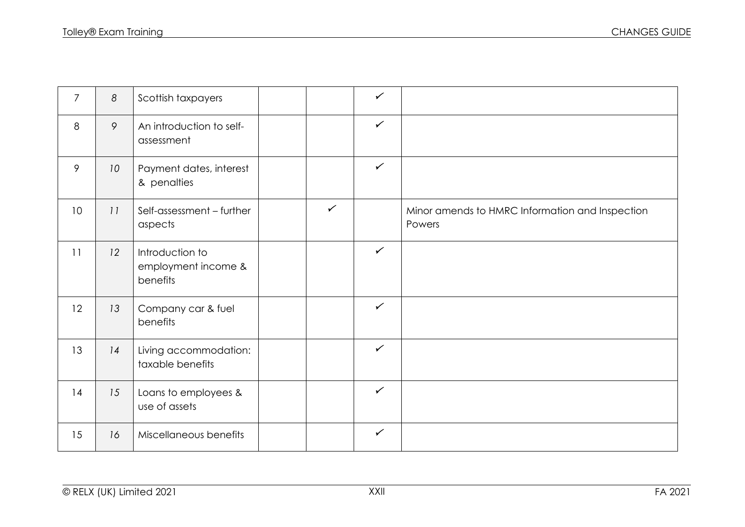| $\overline{7}$  | 8  | Scottish taxpayers                                 |              | $\checkmark$ |                                                           |
|-----------------|----|----------------------------------------------------|--------------|--------------|-----------------------------------------------------------|
| 8               | 9  | An introduction to self-<br>assessment             |              | $\checkmark$ |                                                           |
| 9               | 10 | Payment dates, interest<br>& penalties             |              | $\checkmark$ |                                                           |
| 10 <sup>°</sup> | 11 | Self-assessment - further<br>aspects               | $\checkmark$ |              | Minor amends to HMRC Information and Inspection<br>Powers |
| 11              | 12 | Introduction to<br>employment income &<br>benefits |              | $\checkmark$ |                                                           |
| 12              | 13 | Company car & fuel<br>benefits                     |              | $\checkmark$ |                                                           |
| 13              | 14 | Living accommodation:<br>taxable benefits          |              | $\checkmark$ |                                                           |
| 14              | 15 | Loans to employees &<br>use of assets              |              | $\checkmark$ |                                                           |
| 15              | 16 | Miscellaneous benefits                             |              | $\checkmark$ |                                                           |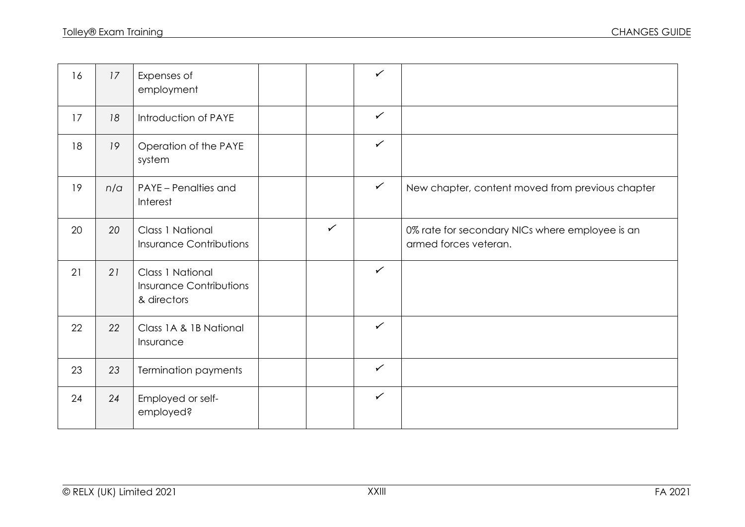| 16 | 17  | Expenses of<br>employment                                         |              | $\checkmark$ |                                                                          |
|----|-----|-------------------------------------------------------------------|--------------|--------------|--------------------------------------------------------------------------|
| 17 | 18  | Introduction of PAYE                                              |              | $\checkmark$ |                                                                          |
| 18 | 19  | Operation of the PAYE<br>system                                   |              | $\checkmark$ |                                                                          |
| 19 | n/a | PAYE - Penalties and<br>Interest                                  |              | $\checkmark$ | New chapter, content moved from previous chapter                         |
| 20 | 20  | <b>Class 1 National</b><br><b>Insurance Contributions</b>         | $\checkmark$ |              | 0% rate for secondary NICs where employee is an<br>armed forces veteran. |
| 21 | 21  | Class 1 National<br><b>Insurance Contributions</b><br>& directors |              | $\checkmark$ |                                                                          |
| 22 | 22  | Class 1A & 1B National<br>Insurance                               |              | $\checkmark$ |                                                                          |
| 23 | 23  | <b>Termination payments</b>                                       |              | $\checkmark$ |                                                                          |
| 24 | 24  | Employed or self-<br>employed?                                    |              | $\checkmark$ |                                                                          |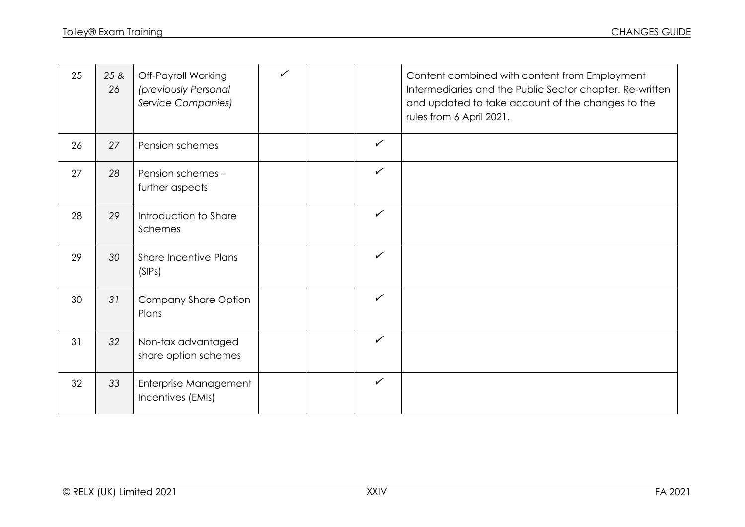| 25 | 25 &<br>26 | Off-Payroll Working<br>(previously Personal<br><b>Service Companies)</b> | $\checkmark$ |              | Content combined with content from Employment<br>Intermediaries and the Public Sector chapter. Re-written<br>and updated to take account of the changes to the<br>rules from 6 April 2021. |
|----|------------|--------------------------------------------------------------------------|--------------|--------------|--------------------------------------------------------------------------------------------------------------------------------------------------------------------------------------------|
| 26 | 27         | Pension schemes                                                          |              | $\checkmark$ |                                                                                                                                                                                            |
| 27 | 28         | Pension schemes -<br>further aspects                                     |              | $\checkmark$ |                                                                                                                                                                                            |
| 28 | 29         | Introduction to Share<br>Schemes                                         |              | $\checkmark$ |                                                                                                                                                                                            |
| 29 | 30         | <b>Share Incentive Plans</b><br>(SIPs)                                   |              | $\checkmark$ |                                                                                                                                                                                            |
| 30 | 31         | Company Share Option<br>Plans                                            |              | $\checkmark$ |                                                                                                                                                                                            |
| 31 | 32         | Non-tax advantaged<br>share option schemes                               |              | $\checkmark$ |                                                                                                                                                                                            |
| 32 | 33         | Enterprise Management<br>Incentives (EMIs)                               |              | $\checkmark$ |                                                                                                                                                                                            |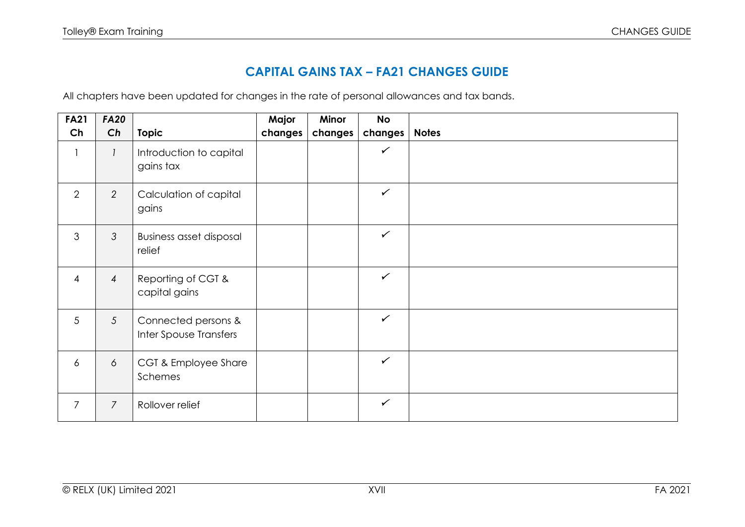## **CAPITAL GAINS TAX – FA21 CHANGES GUIDE**

All chapters have been updated for changes in the rate of personal allowances and tax bands.

| <b>FA21</b>    | <b>FA20</b>     |                                               | Major   | Minor   | <b>No</b>    |              |
|----------------|-----------------|-----------------------------------------------|---------|---------|--------------|--------------|
| Ch             | Ch              | <b>Topic</b>                                  | changes | changes | changes      | <b>Notes</b> |
| $\mathbf{1}$   |                 | Introduction to capital<br>gains tax          |         |         | $\checkmark$ |              |
| $\overline{2}$ | 2               | Calculation of capital<br>gains               |         |         | $\checkmark$ |              |
| 3              | $\mathcal{S}$   | <b>Business asset disposal</b><br>relief      |         |         | $\checkmark$ |              |
| $\overline{4}$ | $\overline{4}$  | Reporting of CGT &<br>capital gains           |         |         | $\checkmark$ |              |
| 5              | $5\overline{)}$ | Connected persons &<br>Inter Spouse Transfers |         |         | $\checkmark$ |              |
| $\delta$       | 6               | CGT & Employee Share<br>Schemes               |         |         | $\checkmark$ |              |
| $\overline{7}$ | $\overline{7}$  | Rollover relief                               |         |         | $\checkmark$ |              |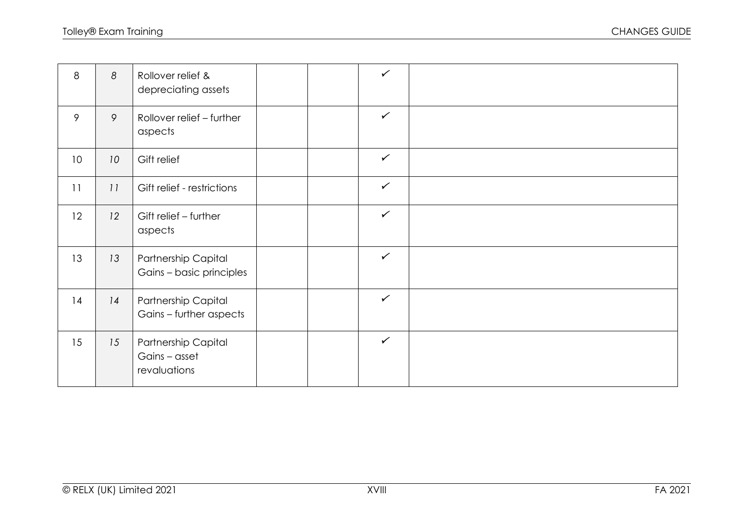| 8               | 8  | Rollover relief &<br>depreciating assets             |  | $\checkmark$ |  |
|-----------------|----|------------------------------------------------------|--|--------------|--|
| 9               | 9  | Rollover relief - further<br>aspects                 |  | $\checkmark$ |  |
| 10 <sup>°</sup> | 10 | Gift relief                                          |  | $\checkmark$ |  |
| 11              | 11 | Gift relief - restrictions                           |  | $\checkmark$ |  |
| 12              | 12 | Gift relief - further<br>aspects                     |  | $\checkmark$ |  |
| 13              | 13 | Partnership Capital<br>Gains - basic principles      |  | $\checkmark$ |  |
| 14              | 14 | Partnership Capital<br>Gains - further aspects       |  | $\checkmark$ |  |
| 15              | 15 | Partnership Capital<br>Gains - asset<br>revaluations |  | $\checkmark$ |  |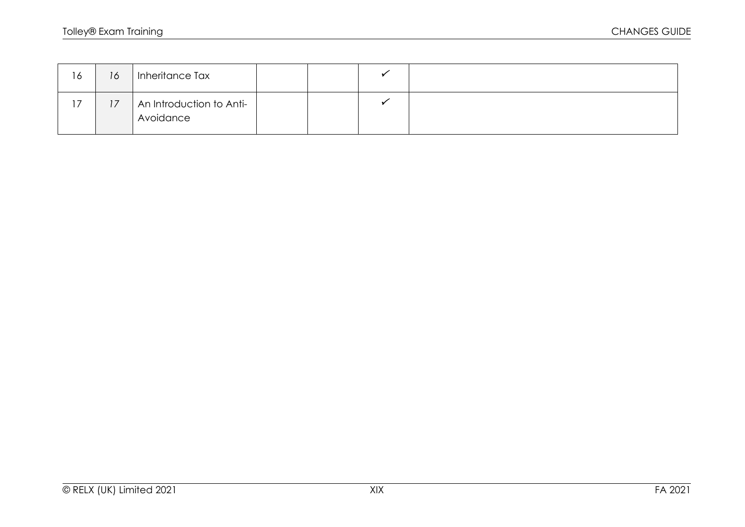| 16        | 16             | Inheritance Tax                       |  |  |
|-----------|----------------|---------------------------------------|--|--|
| 17<br>I / | 77<br>$\prime$ | An Introduction to Anti-<br>Avoidance |  |  |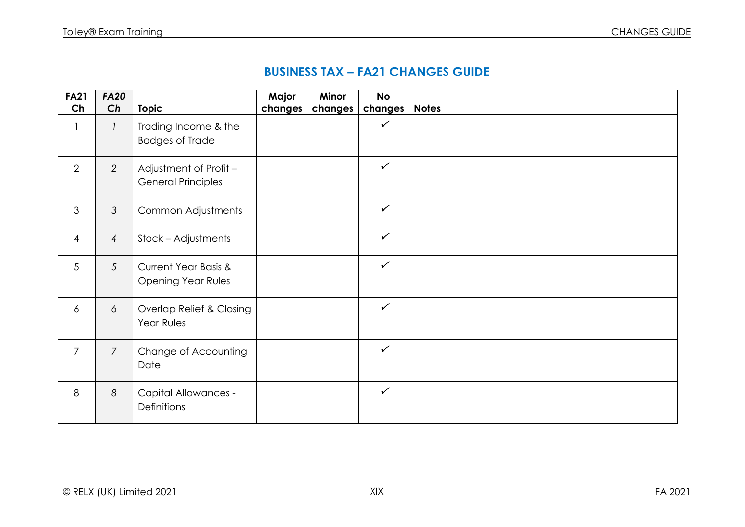## **BUSINESS TAX – FA21 CHANGES GUIDE**

| <b>FA21</b><br>Ch | <b>FA20</b><br>Ch | <b>Topic</b>                                                 | Major<br>changes | Minor<br>changes | <b>No</b><br>changes | <b>Notes</b> |
|-------------------|-------------------|--------------------------------------------------------------|------------------|------------------|----------------------|--------------|
| $\mathbf{1}$      | $\mathbf{1}$      | Trading Income & the<br><b>Badges of Trade</b>               |                  |                  | $\checkmark$         |              |
| 2                 | $\overline{2}$    | Adjustment of Profit -<br><b>General Principles</b>          |                  |                  | $\checkmark$         |              |
| 3                 | $\mathfrak{Z}$    | Common Adjustments                                           |                  |                  | $\checkmark$         |              |
| $\overline{4}$    | $\overline{4}$    | Stock - Adjustments                                          |                  |                  | $\checkmark$         |              |
| 5                 | 5                 | <b>Current Year Basis &amp;</b><br><b>Opening Year Rules</b> |                  |                  | $\checkmark$         |              |
| $\epsilon$        | 6                 | Overlap Relief & Closing<br>Year Rules                       |                  |                  | $\checkmark$         |              |
| $\overline{7}$    | $\overline{7}$    | Change of Accounting<br>Date                                 |                  |                  | $\checkmark$         |              |
| 8                 | 8                 | <b>Capital Allowances -</b><br>Definitions                   |                  |                  | $\checkmark$         |              |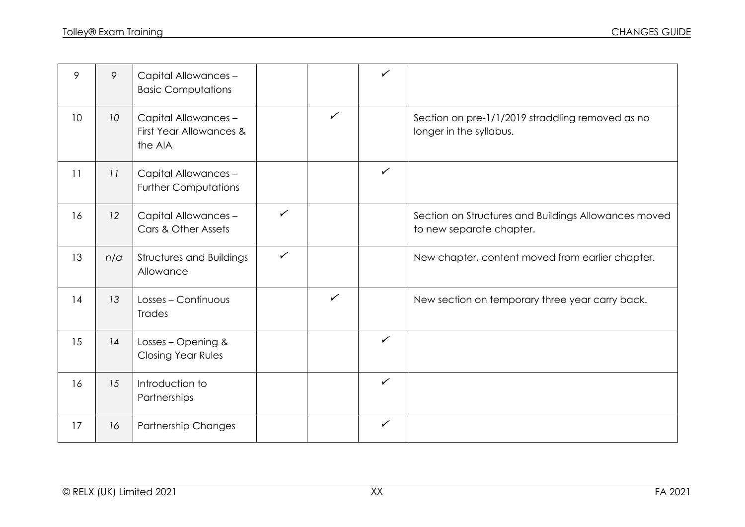| 9  | 9               | Capital Allowances -<br><b>Basic Computations</b>          |              |              | $\checkmark$ |                                                                                  |
|----|-----------------|------------------------------------------------------------|--------------|--------------|--------------|----------------------------------------------------------------------------------|
| 10 | 10 <sup>°</sup> | Capital Allowances -<br>First Year Allowances &<br>the AIA |              | $\checkmark$ |              | Section on pre-1/1/2019 straddling removed as no<br>longer in the syllabus.      |
| 11 | 11              | Capital Allowances -<br><b>Further Computations</b>        |              |              | $\checkmark$ |                                                                                  |
| 16 | 12              | Capital Allowances -<br>Cars & Other Assets                | $\checkmark$ |              |              | Section on Structures and Buildings Allowances moved<br>to new separate chapter. |
| 13 | n/a             | <b>Structures and Buildings</b><br>Allowance               | $\checkmark$ |              |              | New chapter, content moved from earlier chapter.                                 |
| 14 | 13              | Losses - Continuous<br><b>Trades</b>                       |              | $\checkmark$ |              | New section on temporary three year carry back.                                  |
| 15 | 14              | Losses - Opening &<br><b>Closing Year Rules</b>            |              |              | $\checkmark$ |                                                                                  |
| 16 | 15              | Introduction to<br>Partnerships                            |              |              | $\checkmark$ |                                                                                  |
| 17 | 16              | Partnership Changes                                        |              |              | $\checkmark$ |                                                                                  |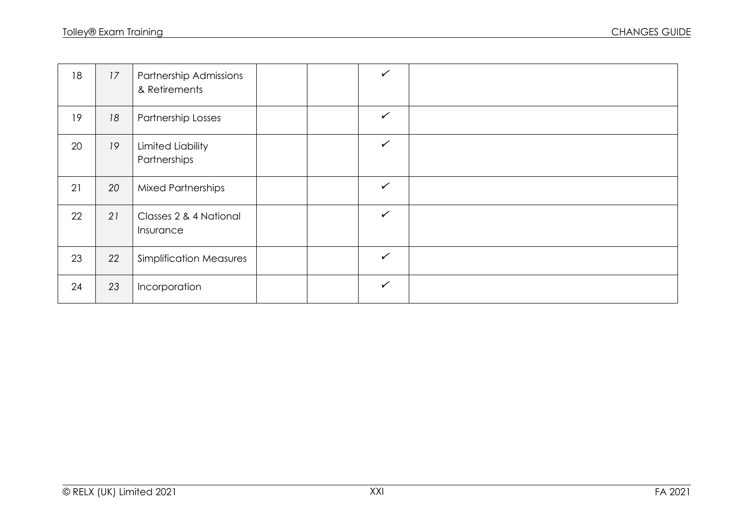| 18 | 17 | Partnership Admissions<br>& Retirements |  | $\checkmark$ |  |
|----|----|-----------------------------------------|--|--------------|--|
| 19 | 18 | <b>Partnership Losses</b>               |  | $\checkmark$ |  |
| 20 | 19 | Limited Liability<br>Partnerships       |  | $\checkmark$ |  |
| 21 | 20 | <b>Mixed Partnerships</b>               |  | $\checkmark$ |  |
| 22 | 21 | Classes 2 & 4 National<br>Insurance     |  | $\checkmark$ |  |
| 23 | 22 | <b>Simplification Measures</b>          |  | $\checkmark$ |  |
| 24 | 23 | Incorporation                           |  | $\checkmark$ |  |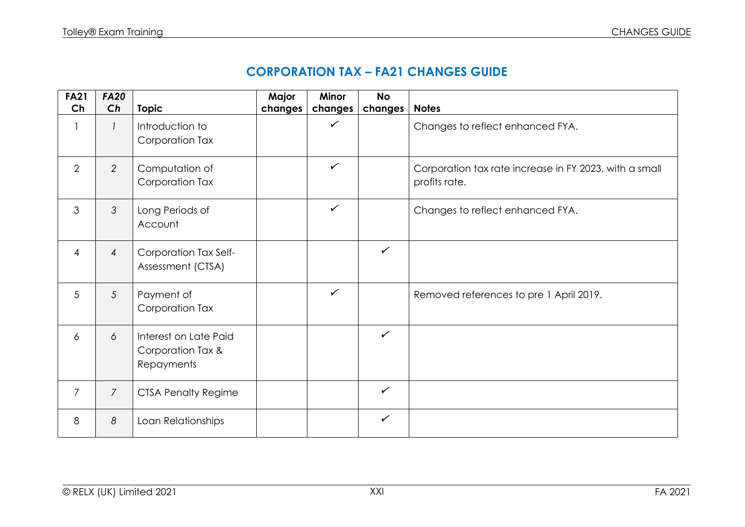## **CORPORATION TAX – FA21 CHANGES GUIDE**

| <b>FA21</b><br>Ch | <b>FA20</b><br>Ch | <b>Topic</b>                                             | Major<br>changes | <b>Minor</b><br>changes | <b>No</b><br>changes | <b>Notes</b>                                                            |
|-------------------|-------------------|----------------------------------------------------------|------------------|-------------------------|----------------------|-------------------------------------------------------------------------|
|                   |                   | Introduction to<br>Corporation Tax                       |                  | ✓                       |                      | Changes to reflect enhanced FYA.                                        |
| $\overline{2}$    | $\overline{2}$    | Computation of<br>Corporation Tax                        |                  | $\checkmark$            |                      | Corporation tax rate increase in FY 2023, with a small<br>profits rate. |
| 3                 | 3                 | Long Periods of<br>Account                               |                  | $\checkmark$            |                      | Changes to reflect enhanced FYA.                                        |
| $\overline{4}$    | $\overline{4}$    | Corporation Tax Self-<br>Assessment (CTSA)               |                  |                         | $\checkmark$         |                                                                         |
| 5                 | 5                 | Payment of<br>Corporation Tax                            |                  | $\checkmark$            |                      | Removed references to pre 1 April 2019.                                 |
| 6                 | 6                 | Interest on Late Paid<br>Corporation Tax &<br>Repayments |                  |                         | $\checkmark$         |                                                                         |
| $\overline{7}$    | $\overline{7}$    | <b>CTSA Penalty Regime</b>                               |                  |                         | $\checkmark$         |                                                                         |
| 8                 | 8                 | Loan Relationships                                       |                  |                         | $\checkmark$         |                                                                         |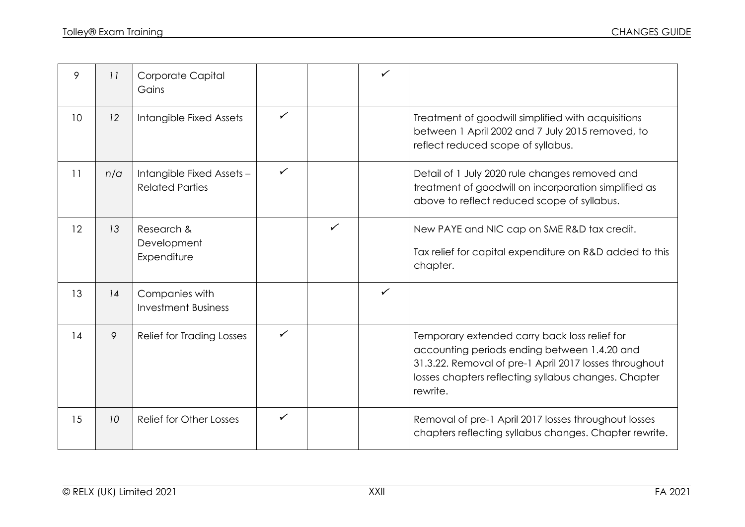| 9  | 11  | Corporate Capital<br>Gains                          |              |              | ✓            |                                                                                                                                                                                                                             |
|----|-----|-----------------------------------------------------|--------------|--------------|--------------|-----------------------------------------------------------------------------------------------------------------------------------------------------------------------------------------------------------------------------|
| 10 | 12  | Intangible Fixed Assets                             | ✓            |              |              | Treatment of goodwill simplified with acquisitions<br>between 1 April 2002 and 7 July 2015 removed, to<br>reflect reduced scope of syllabus.                                                                                |
| 11 | n/a | Intangible Fixed Assets -<br><b>Related Parties</b> | $\checkmark$ |              |              | Detail of 1 July 2020 rule changes removed and<br>treatment of goodwill on incorporation simplified as<br>above to reflect reduced scope of syllabus.                                                                       |
| 12 | 13  | Research &<br>Development<br>Expenditure            |              | $\checkmark$ |              | New PAYE and NIC cap on SME R&D tax credit.<br>Tax relief for capital expenditure on R&D added to this<br>chapter.                                                                                                          |
| 13 | 14  | Companies with<br><b>Investment Business</b>        |              |              | $\checkmark$ |                                                                                                                                                                                                                             |
| 14 | 9   | <b>Relief for Trading Losses</b>                    | $\checkmark$ |              |              | Temporary extended carry back loss relief for<br>accounting periods ending between 1.4.20 and<br>31.3.22. Removal of pre-1 April 2017 losses throughout<br>losses chapters reflecting syllabus changes. Chapter<br>rewrite. |
| 15 | 10  | Relief for Other Losses                             | $\checkmark$ |              |              | Removal of pre-1 April 2017 losses throughout losses<br>chapters reflecting syllabus changes. Chapter rewrite.                                                                                                              |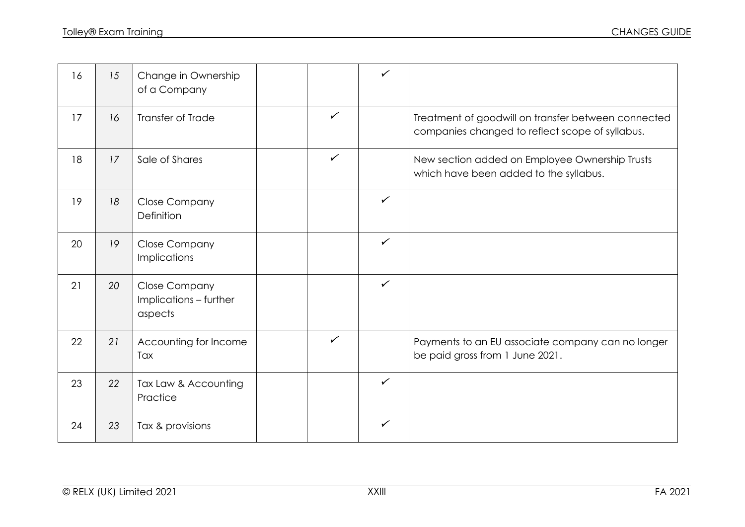| 16 | 15 | Change in Ownership<br>of a Company                       |              | $\checkmark$ |                                                                                                        |
|----|----|-----------------------------------------------------------|--------------|--------------|--------------------------------------------------------------------------------------------------------|
| 17 | 16 | <b>Transfer of Trade</b>                                  | $\checkmark$ |              | Treatment of goodwill on transfer between connected<br>companies changed to reflect scope of syllabus. |
| 18 | 17 | Sale of Shares                                            | $\checkmark$ |              | New section added on Employee Ownership Trusts<br>which have been added to the syllabus.               |
| 19 | 18 | <b>Close Company</b><br>Definition                        |              | $\checkmark$ |                                                                                                        |
| 20 | 19 | Close Company<br>Implications                             |              | $\checkmark$ |                                                                                                        |
| 21 | 20 | <b>Close Company</b><br>Implications - further<br>aspects |              | $\checkmark$ |                                                                                                        |
| 22 | 21 | Accounting for Income<br>Tax                              | $\checkmark$ |              | Payments to an EU associate company can no longer<br>be paid gross from 1 June 2021.                   |
| 23 | 22 | Tax Law & Accounting<br>Practice                          |              | $\checkmark$ |                                                                                                        |
| 24 | 23 | Tax & provisions                                          |              | $\checkmark$ |                                                                                                        |